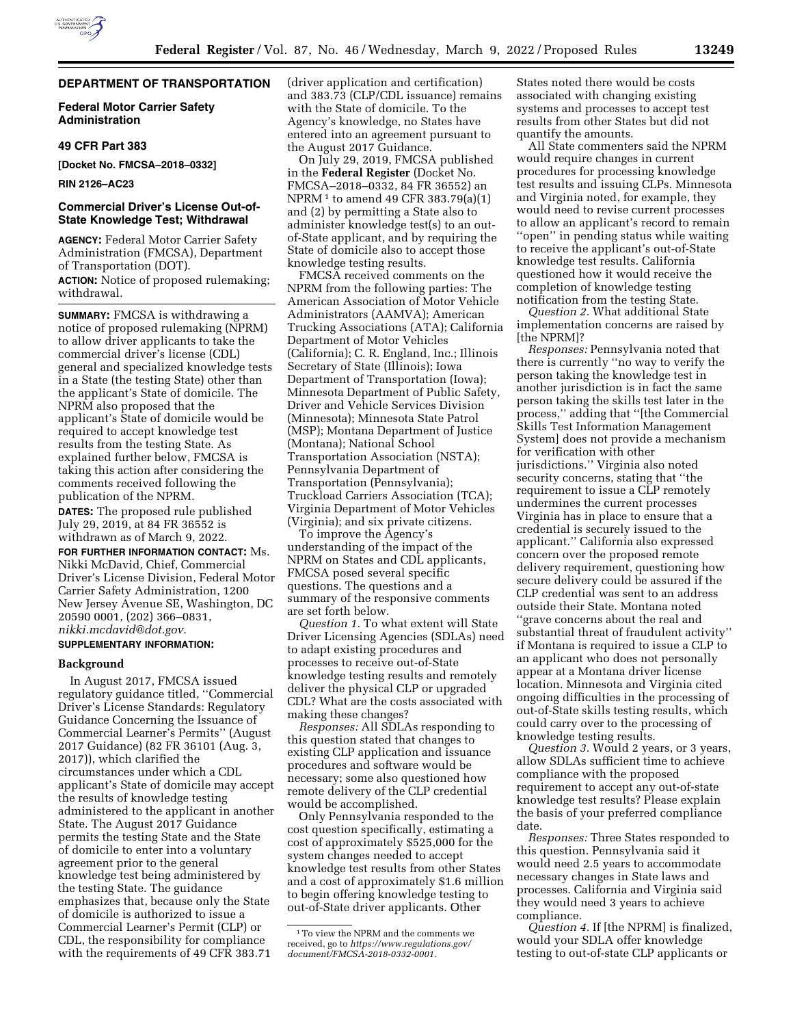# **DEPARTMENT OF TRANSPORTATION**

**Federal Motor Carrier Safety Administration** 

#### **49 CFR Part 383**

**[Docket No. FMCSA–2018–0332]** 

**RIN 2126–AC23** 

### **Commercial Driver's License Out-of-State Knowledge Test; Withdrawal**

**AGENCY:** Federal Motor Carrier Safety Administration (FMCSA), Department of Transportation (DOT). **ACTION:** Notice of proposed rulemaking; withdrawal.

**SUMMARY:** FMCSA is withdrawing a notice of proposed rulemaking (NPRM) to allow driver applicants to take the commercial driver's license (CDL) general and specialized knowledge tests in a State (the testing State) other than the applicant's State of domicile. The NPRM also proposed that the applicant's State of domicile would be required to accept knowledge test results from the testing State. As explained further below, FMCSA is taking this action after considering the comments received following the publication of the NPRM.

**DATES:** The proposed rule published July 29, 2019, at 84 FR 36552 is withdrawn as of March 9, 2022.

**FOR FURTHER INFORMATION CONTACT:** Ms. Nikki McDavid, Chief, Commercial Driver's License Division, Federal Motor Carrier Safety Administration, 1200 New Jersey Avenue SE, Washington, DC 20590 0001, (202) 366–0831, *[nikki.mcdavid@dot.gov.](mailto:nikki.mcdavid@dot.gov)* 

## **SUPPLEMENTARY INFORMATION:**

## **Background**

In August 2017, FMCSA issued regulatory guidance titled, ''Commercial Driver's License Standards: Regulatory Guidance Concerning the Issuance of Commercial Learner's Permits'' (August 2017 Guidance) (82 FR 36101 (Aug. 3, 2017)), which clarified the circumstances under which a CDL applicant's State of domicile may accept the results of knowledge testing administered to the applicant in another State. The August 2017 Guidance permits the testing State and the State of domicile to enter into a voluntary agreement prior to the general knowledge test being administered by the testing State. The guidance emphasizes that, because only the State of domicile is authorized to issue a Commercial Learner's Permit (CLP) or CDL, the responsibility for compliance with the requirements of 49 CFR 383.71

(driver application and certification) and 383.73 (CLP/CDL issuance) remains with the State of domicile. To the Agency's knowledge, no States have entered into an agreement pursuant to the August 2017 Guidance.

On July 29, 2019, FMCSA published in the **Federal Register** (Docket No. FMCSA–2018–0332, 84 FR 36552) an NPRM 1 to amend 49 CFR 383.79(a)(1) and (2) by permitting a State also to administer knowledge test(s) to an outof-State applicant, and by requiring the State of domicile also to accept those knowledge testing results.

FMCSA received comments on the NPRM from the following parties: The American Association of Motor Vehicle Administrators (AAMVA); American Trucking Associations (ATA); California Department of Motor Vehicles (California); C. R. England, Inc.; Illinois Secretary of State (Illinois); Iowa Department of Transportation (Iowa); Minnesota Department of Public Safety, Driver and Vehicle Services Division (Minnesota); Minnesota State Patrol (MSP); Montana Department of Justice (Montana); National School Transportation Association (NSTA); Pennsylvania Department of Transportation (Pennsylvania); Truckload Carriers Association (TCA); Virginia Department of Motor Vehicles (Virginia); and six private citizens.

To improve the Agency's understanding of the impact of the NPRM on States and CDL applicants, FMCSA posed several specific questions. The questions and a summary of the responsive comments are set forth below.

*Question 1.* To what extent will State Driver Licensing Agencies (SDLAs) need to adapt existing procedures and processes to receive out-of-State knowledge testing results and remotely deliver the physical CLP or upgraded CDL? What are the costs associated with making these changes?

*Responses:* All SDLAs responding to this question stated that changes to existing CLP application and issuance procedures and software would be necessary; some also questioned how remote delivery of the CLP credential would be accomplished.

Only Pennsylvania responded to the cost question specifically, estimating a cost of approximately \$525,000 for the system changes needed to accept knowledge test results from other States and a cost of approximately \$1.6 million to begin offering knowledge testing to out-of-State driver applicants. Other

States noted there would be costs associated with changing existing systems and processes to accept test results from other States but did not quantify the amounts.

All State commenters said the NPRM would require changes in current procedures for processing knowledge test results and issuing CLPs. Minnesota and Virginia noted, for example, they would need to revise current processes to allow an applicant's record to remain ''open'' in pending status while waiting to receive the applicant's out-of-State knowledge test results. California questioned how it would receive the completion of knowledge testing notification from the testing State.

*Question 2.* What additional State implementation concerns are raised by [the NPRM]?

*Responses:* Pennsylvania noted that there is currently ''no way to verify the person taking the knowledge test in another jurisdiction is in fact the same person taking the skills test later in the process,'' adding that ''[the Commercial Skills Test Information Management System] does not provide a mechanism for verification with other jurisdictions.'' Virginia also noted security concerns, stating that ''the requirement to issue a CLP remotely undermines the current processes Virginia has in place to ensure that a credential is securely issued to the applicant.'' California also expressed concern over the proposed remote delivery requirement, questioning how secure delivery could be assured if the CLP credential was sent to an address outside their State. Montana noted ''grave concerns about the real and substantial threat of fraudulent activity'' if Montana is required to issue a CLP to an applicant who does not personally appear at a Montana driver license location. Minnesota and Virginia cited ongoing difficulties in the processing of out-of-State skills testing results, which could carry over to the processing of knowledge testing results.

*Question 3.* Would 2 years, or 3 years, allow SDLAs sufficient time to achieve compliance with the proposed requirement to accept any out-of-state knowledge test results? Please explain the basis of your preferred compliance date.

*Responses:* Three States responded to this question. Pennsylvania said it would need 2.5 years to accommodate necessary changes in State laws and processes. California and Virginia said they would need 3 years to achieve compliance.

*Question 4.* If [the NPRM] is finalized, would your SDLA offer knowledge testing to out-of-state CLP applicants or

 $^{\rm 1}\rm{To}$  view the NPRM and the comments we received, go to *[https://www.regulations.gov/](https://www.regulations.gov/document/FMCSA-2018-0332-0001)  [document/FMCSA-2018-0332-0001.](https://www.regulations.gov/document/FMCSA-2018-0332-0001)*